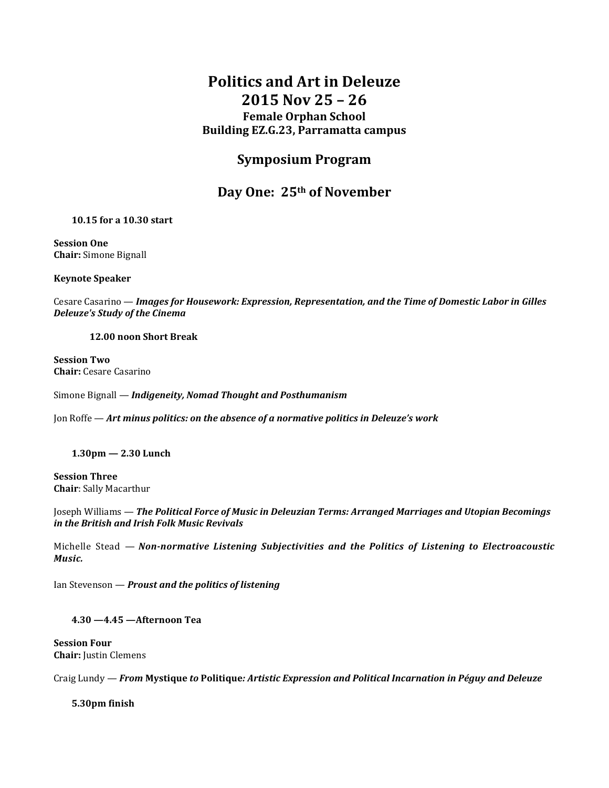# **Politics and Art in Deleuze 2015 Nov 25 – 26 Female Orphan School Building EZ.G.23, Parramatta campus**

## **Symposium Program**

### **Day One: 25th of November**

#### **10.15 for a 10.30 start**

**Session One Chair:** Simone Bignall

**Keynote Speaker** 

Cesare Casarino — *Images for Housework: Expression, Representation, and the Time of Domestic Labor in Gilles Deleuze's Study of the Cinema*

#### **12.00 noon Short Break**

**Session Two Chair:** Cesare Casarino

Simone Bignall — *Indigeneity, Nomad Thought and Posthumanism*

Jon Roffe — *Art minus politics: on the absence of a normative politics in Deleuze's work*

**1.30pm — 2.30 Lunch**

**Session Three Chair**: Sally Macarthur

Joseph Williams — *The Political Force of Music in Deleuzian Terms: Arranged Marriages and Utopian Becomings in the British and Irish Folk Music Revivals*

Michelle Stead — *Non-normative Listening Subjectivities and the Politics of Listening to Electroacoustic Music.*

Ian Stevenson — *Proust and the politics of listening* 

**4.30 —4.45 —Afternoon Tea**

**Session Four Chair:** Justin Clemens

Craig Lundy — *From* **Mystique** *to* **Politique***: Artistic Expression and Political Incarnation in Péguy and Deleuze*

**5.30pm finish**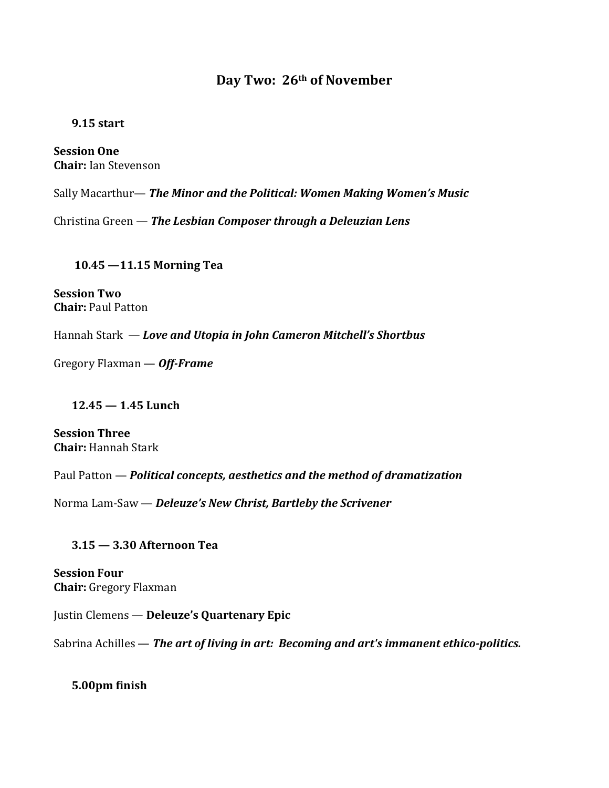## **Day Two: 26th of November**

#### **9.15 start**

**Session One Chair:** Ian Stevenson

Sally Macarthur— *The Minor and the Political: Women Making Women's Music*

Christina Green — *The Lesbian Composer through a Deleuzian Lens*

**10.45 —11.15 Morning Tea**

**Session Two Chair:** Paul Patton

Hannah Stark — *Love and Utopia in John Cameron Mitchell's Shortbus*

Gregory Flaxman — *Off-Frame*

### **12.45 — 1.45 Lunch**

**Session Three Chair:** Hannah Stark

Paul Patton — *Political concepts, aesthetics and the method of dramatization*

Norma Lam-Saw — *Deleuze's New Christ, Bartleby the Scrivener*

### **3.15 — 3.30 Afternoon Tea**

**Session Four Chair:** Gregory Flaxman

Justin Clemens — **Deleuze's Quartenary Epic**

Sabrina Achilles — *The art of living in art: Becoming and art's immanent ethico-politics.*

**5.00pm finish**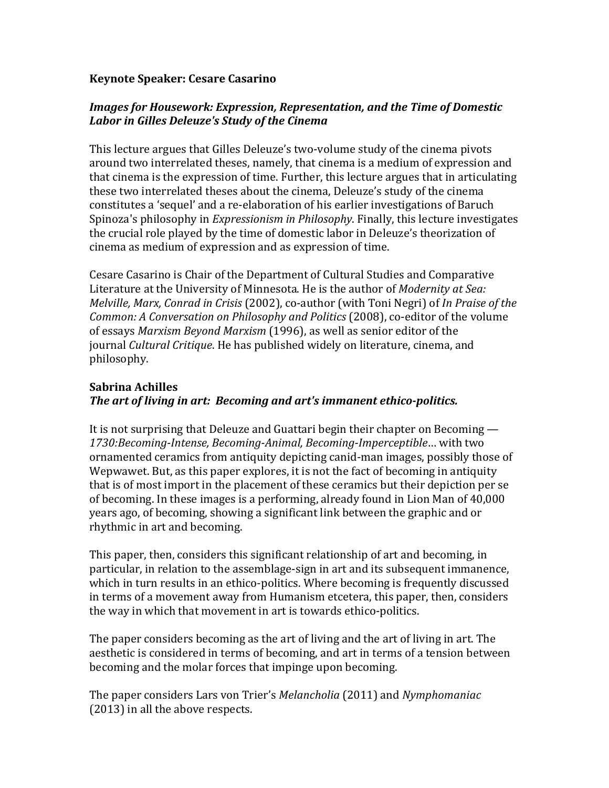#### **Keynote Speaker: Cesare Casarino**

### *Images for Housework: Expression, Representation, and the Time of Domestic Labor in Gilles Deleuze's Study of the Cinema*

This lecture argues that Gilles Deleuze's two-volume study of the cinema pivots around two interrelated theses, namely, that cinema is a medium of expression and that cinema is the expression of time. Further, this lecture argues that in articulating these two interrelated theses about the cinema, Deleuze's study of the cinema constitutes a 'sequel' and a re-elaboration of his earlier investigations of Baruch Spinoza's philosophy in *Expressionism in Philosophy*. Finally, this lecture investigates the crucial role played by the time of domestic labor in Deleuze's theorization of cinema as medium of expression and as expression of time.

Cesare Casarino is Chair of the Department of Cultural Studies and Comparative Literature at the University of Minnesota. He is the author of *Modernity at Sea: Melville, Marx, Conrad in Crisis* (2002), co-author (with Toni Negri) of *In Praise of the Common: A Conversation on Philosophy and Politics* (2008), co-editor of the volume of essays *Marxism Beyond Marxism* (1996), as well as senior editor of the journal *Cultural Critique*. He has published widely on literature, cinema, and philosophy.

### **Sabrina Achilles** *The art of living in art: Becoming and art's immanent ethico-politics.*

It is not surprising that Deleuze and Guattari begin their chapter on Becoming — *1730:Becoming-Intense, Becoming-Animal, Becoming-Imperceptible*… with two ornamented ceramics from antiquity depicting canid-man images, possibly those of Wepwawet. But, as this paper explores, it is not the fact of becoming in antiquity that is of most import in the placement of these ceramics but their depiction per se of becoming. In these images is a performing, already found in Lion Man of 40,000 years ago, of becoming, showing a significant link between the graphic and or rhythmic in art and becoming.

This paper, then, considers this significant relationship of art and becoming, in particular, in relation to the assemblage-sign in art and its subsequent immanence, which in turn results in an ethico-politics. Where becoming is frequently discussed in terms of a movement away from Humanism etcetera, this paper, then, considers the way in which that movement in art is towards ethico-politics.

The paper considers becoming as the art of living and the art of living in art. The aesthetic is considered in terms of becoming, and art in terms of a tension between becoming and the molar forces that impinge upon becoming.

The paper considers Lars von Trier's *Melancholia* (2011) and *Nymphomaniac* (2013) in all the above respects.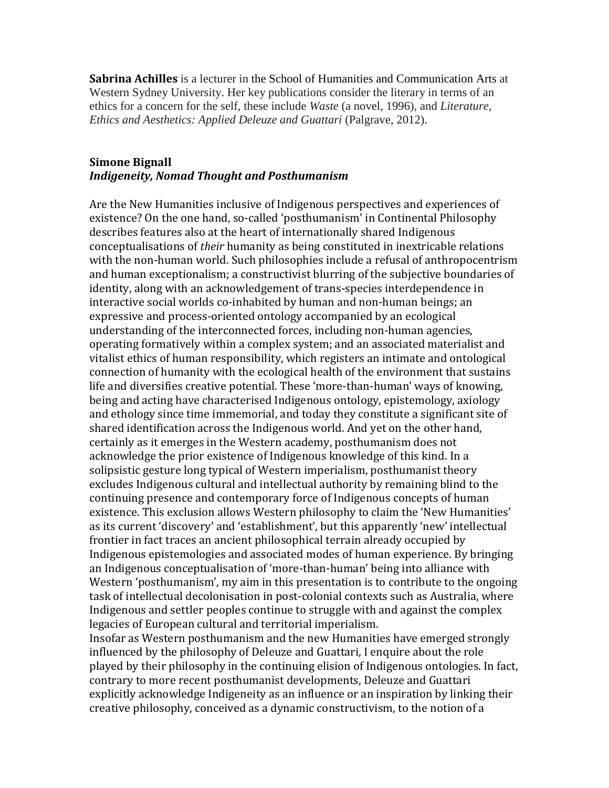**Sabrina Achilles** is a lecturer in the [School of Humanities and Communication Arts](https://www.uws.edu.au/hca_archive/school_of_humanities_and_communication_arts) at Western Sydney University. Her key publications consider the literary in terms of an ethics for a concern for the self, these include *Waste* (a novel, 1996), and *Literature, Ethics and Aesthetics: Applied Deleuze and Guattari* (Palgrave, 2012).

#### **Simone Bignall** *Indigeneity, Nomad Thought and Posthumanism*

Are the New Humanities inclusive of Indigenous perspectives and experiences of existence? On the one hand, so-called 'posthumanism' in Continental Philosophy describes features also at the heart of internationally shared Indigenous conceptualisations of *their* humanity as being constituted in inextricable relations with the non-human world. Such philosophies include a refusal of anthropocentrism and human exceptionalism; a constructivist blurring of the subjective boundaries of identity, along with an acknowledgement of trans-species interdependence in interactive social worlds co-inhabited by human and non-human beings; an expressive and process-oriented ontology accompanied by an ecological understanding of the interconnected forces, including non-human agencies, operating formatively within a complex system; and an associated materialist and vitalist ethics of human responsibility, which registers an intimate and ontological connection of humanity with the ecological health of the environment that sustains life and diversifies creative potential. These 'more-than-human' ways of knowing, being and acting have characterised Indigenous ontology, epistemology, axiology and ethology since time immemorial, and today they constitute a significant site of shared identification across the Indigenous world. And yet on the other hand, certainly as it emerges in the Western academy, posthumanism does not acknowledge the prior existence of Indigenous knowledge of this kind. In a solipsistic gesture long typical of Western imperialism, posthumanist theory excludes Indigenous cultural and intellectual authority by remaining blind to the continuing presence and contemporary force of Indigenous concepts of human existence. This exclusion allows Western philosophy to claim the 'New Humanities' as its current 'discovery' and 'establishment', but this apparently 'new' intellectual frontier in fact traces an ancient philosophical terrain already occupied by Indigenous epistemologies and associated modes of human experience. By bringing an Indigenous conceptualisation of 'more-than-human' being into alliance with Western 'posthumanism', my aim in this presentation is to contribute to the ongoing task of intellectual decolonisation in post-colonial contexts such as Australia, where Indigenous and settler peoples continue to struggle with and against the complex legacies of European cultural and territorial imperialism.

Insofar as Western posthumanism and the new Humanities have emerged strongly influenced by the philosophy of Deleuze and Guattari, I enquire about the role played by their philosophy in the continuing elision of Indigenous ontologies. In fact, contrary to more recent posthumanist developments, Deleuze and Guattari explicitly acknowledge Indigeneity as an influence or an inspiration by linking their creative philosophy, conceived as a dynamic constructivism, to the notion of a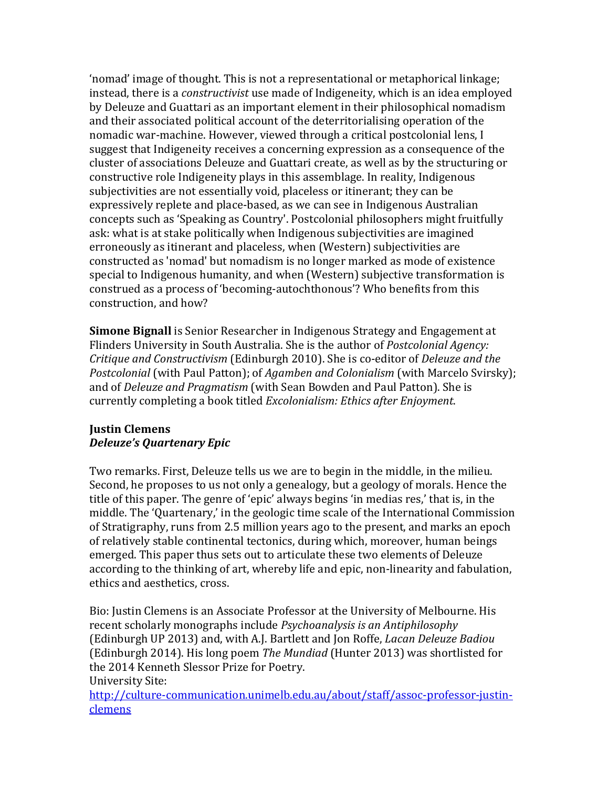'nomad' image of thought. This is not a representational or metaphorical linkage; instead, there is a *constructivist* use made of Indigeneity, which is an idea employed by Deleuze and Guattari as an important element in their philosophical nomadism and their associated political account of the deterritorialising operation of the nomadic war-machine. However, viewed through a critical postcolonial lens, I suggest that Indigeneity receives a concerning expression as a consequence of the cluster of associations Deleuze and Guattari create, as well as by the structuring or constructive role Indigeneity plays in this assemblage. In reality, Indigenous subjectivities are not essentially void, placeless or itinerant; they can be expressively replete and place-based, as we can see in Indigenous Australian concepts such as 'Speaking as Country'. Postcolonial philosophers might fruitfully ask: what is at stake politically when Indigenous subjectivities are imagined erroneously as itinerant and placeless, when (Western) subjectivities are constructed as 'nomad' but nomadism is no longer marked as mode of existence special to Indigenous humanity, and when (Western) subjective transformation is construed as a process of 'becoming-autochthonous'? Who benefits from this construction, and how?

**Simone Bignall** is Senior Researcher in Indigenous Strategy and Engagement at Flinders University in South Australia. She is the author of *Postcolonial Agency: Critique and Constructivism* (Edinburgh 2010). She is co-editor of *Deleuze and the Postcolonial* (with Paul Patton); of *Agamben and Colonialism* (with Marcelo Svirsky); and of *Deleuze and Pragmatism* (with Sean Bowden and Paul Patton). She is currently completing a book titled *Excolonialism: Ethics after Enjoyment*.

### **Justin Clemens** *Deleuze's Quartenary Epic*

Two remarks. First, Deleuze tells us we are to begin in the middle, in the milieu. Second, he proposes to us not only a genealogy, but a geology of morals. Hence the title of this paper. The genre of 'epic' always begins 'in medias res,' that is, in the middle. The 'Quartenary,' in the geologic time scale of the International Commission of Stratigraphy, runs from 2.5 million years ago to the present, and marks an epoch of relatively stable continental tectonics, during which, moreover, human beings emerged. This paper thus sets out to articulate these two elements of Deleuze according to the thinking of art, whereby life and epic, non-linearity and fabulation, ethics and aesthetics, cross.

Bio: Justin Clemens is an Associate Professor at the University of Melbourne. His recent scholarly monographs include *Psychoanalysis is an Antiphilosophy* (Edinburgh UP 2013) and, with A.J. Bartlett and Jon Roffe, *Lacan Deleuze Badiou* (Edinburgh 2014). His long poem *The Mundiad* (Hunter 2013) was shortlisted for the 2014 Kenneth Slessor Prize for Poetry.

### University Site:

[http://culture-communication.unimelb.edu.au/about/staff/assoc-professor-justin](http://culture-communication.unimelb.edu.au/about/staff/assoc-professor-justin-clemens)[clemens](http://culture-communication.unimelb.edu.au/about/staff/assoc-professor-justin-clemens)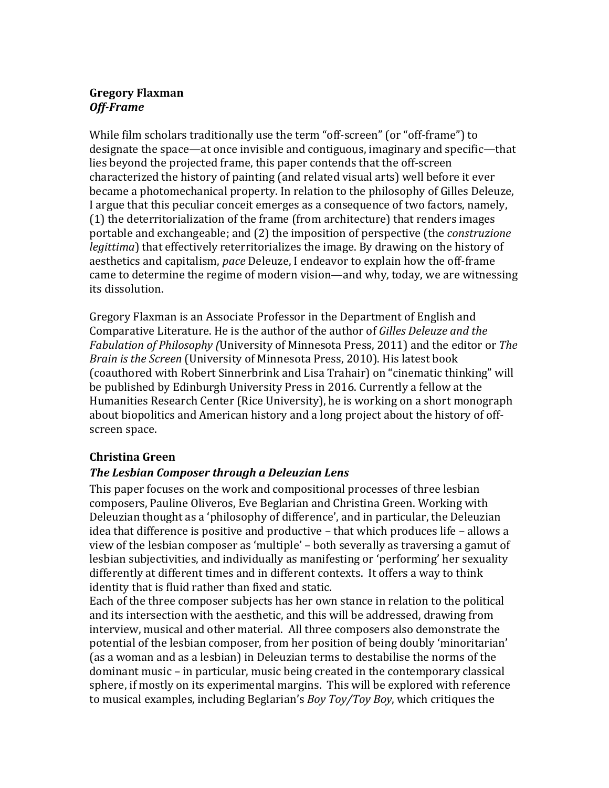### **Gregory Flaxman** *Off-Frame*

While film scholars traditionally use the term "off-screen" (or "off-frame") to designate the space—at once invisible and contiguous, imaginary and specific—that lies beyond the projected frame, this paper contends that the off-screen characterized the history of painting (and related visual arts) well before it ever became a photomechanical property. In relation to the philosophy of Gilles Deleuze, I argue that this peculiar conceit emerges as a consequence of two factors, namely, (1) the deterritorialization of the frame (from architecture) that renders images portable and exchangeable; and (2) the imposition of perspective (the *construzione legittima*) that effectively reterritorializes the image. By drawing on the history of aesthetics and capitalism, *pace* Deleuze, I endeavor to explain how the off-frame came to determine the regime of modern vision—and why, today, we are witnessing its dissolution.

Gregory Flaxman is an Associate Professor in the Department of English and Comparative Literature. He is the author of the author of *Gilles Deleuze and the Fabulation of Philosophy (*University of Minnesota Press, 2011) and the editor or *The Brain is the Screen* (University of Minnesota Press, 2010). His latest book (coauthored with Robert Sinnerbrink and Lisa Trahair) on "cinematic thinking" will be published by Edinburgh University Press in 2016. Currently a fellow at the Humanities Research Center (Rice University), he is working on a short monograph about biopolitics and American history and a long project about the history of offscreen space.

## **Christina Green**

## *The Lesbian Composer through a Deleuzian Lens*

This paper focuses on the work and compositional processes of three lesbian composers, Pauline Oliveros, Eve Beglarian and Christina Green. Working with Deleuzian thought as a 'philosophy of difference', and in particular, the Deleuzian idea that difference is positive and productive – that which produces life – allows a view of the lesbian composer as 'multiple' – both severally as traversing a gamut of lesbian subjectivities, and individually as manifesting or 'performing' her sexuality differently at different times and in different contexts. It offers a way to think identity that is fluid rather than fixed and static.

Each of the three composer subjects has her own stance in relation to the political and its intersection with the aesthetic, and this will be addressed, drawing from interview, musical and other material. All three composers also demonstrate the potential of the lesbian composer, from her position of being doubly 'minoritarian' (as a woman and as a lesbian) in Deleuzian terms to destabilise the norms of the dominant music – in particular, music being created in the contemporary classical sphere, if mostly on its experimental margins. This will be explored with reference to musical examples, including Beglarian's *Boy Toy/Toy Boy*, which critiques the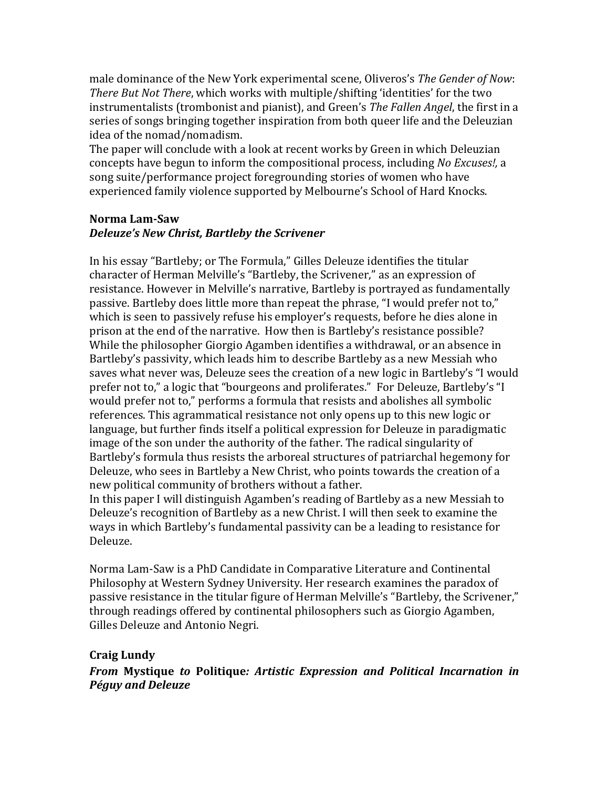male dominance of the New York experimental scene, Oliveros's *The Gender of Now*: *There But Not There*, which works with multiple/shifting 'identities' for the two instrumentalists (trombonist and pianist), and Green's *The Fallen Angel*, the first in a series of songs bringing together inspiration from both queer life and the Deleuzian idea of the nomad/nomadism.

The paper will conclude with a look at recent works by Green in which Deleuzian concepts have begun to inform the compositional process, including *No Excuses!,* a song suite/performance project foregrounding stories of women who have experienced family violence supported by Melbourne's School of Hard Knocks.

### **Norma Lam-Saw** *Deleuze's New Christ, Bartleby the Scrivener*

In his essay "Bartleby; or The Formula," Gilles Deleuze identifies the titular character of Herman Melville's "Bartleby, the Scrivener," as an expression of resistance. However in Melville's narrative, Bartleby is portrayed as fundamentally passive. Bartleby does little more than repeat the phrase, "I would prefer not to," which is seen to passively refuse his employer's requests, before he dies alone in prison at the end of the narrative. How then is Bartleby's resistance possible? While the philosopher Giorgio Agamben identifies a withdrawal, or an absence in Bartleby's passivity, which leads him to describe Bartleby as a new Messiah who saves what never was, Deleuze sees the creation of a new logic in Bartleby's "I would prefer not to," a logic that "bourgeons and proliferates." For Deleuze, Bartleby's "I would prefer not to," performs a formula that resists and abolishes all symbolic references. This agrammatical resistance not only opens up to this new logic or language, but further finds itself a political expression for Deleuze in paradigmatic image of the son under the authority of the father. The radical singularity of Bartleby's formula thus resists the arboreal structures of patriarchal hegemony for Deleuze, who sees in Bartleby a New Christ, who points towards the creation of a new political community of brothers without a father.

In this paper I will distinguish Agamben's reading of Bartleby as a new Messiah to Deleuze's recognition of Bartleby as a new Christ. I will then seek to examine the ways in which Bartleby's fundamental passivity can be a leading to resistance for Deleuze.

Norma Lam-Saw is a PhD Candidate in Comparative Literature and Continental Philosophy at Western Sydney University. Her research examines the paradox of passive resistance in the titular figure of Herman Melville's "Bartleby, the Scrivener," through readings offered by continental philosophers such as Giorgio Agamben, Gilles Deleuze and Antonio Negri.

## **Craig Lundy**

*From* **Mystique** *to* **Politique***: Artistic Expression and Political Incarnation in Péguy and Deleuze*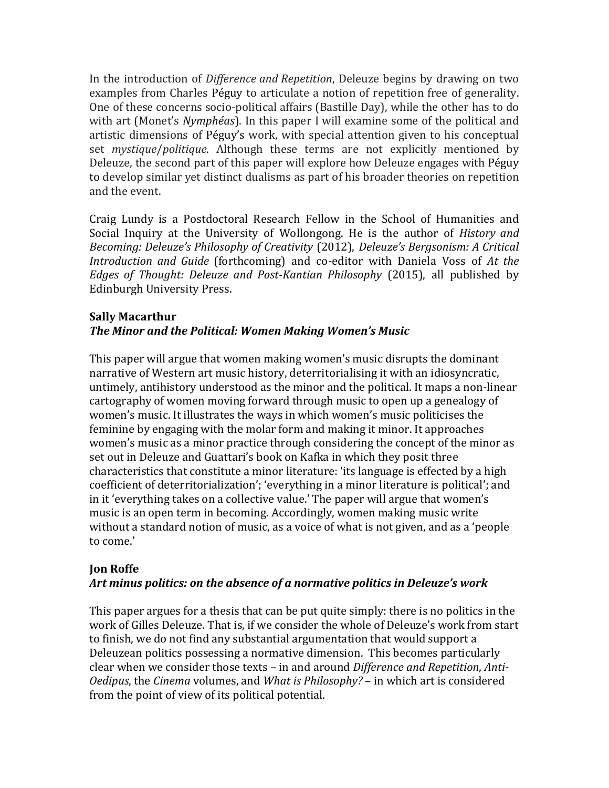In the introduction of *Difference and Repetition*, Deleuze begins by drawing on two examples from Charles Péguy to articulate a notion of repetition free of generality. One of these concerns socio-political affairs (Bastille Day), while the other has to do with art (Monet's *Nymphéas*). In this paper I will examine some of the political and artistic dimensions of Péguy's work, with special attention given to his conceptual set *mystique*/*politique*. Although these terms are not explicitly mentioned by Deleuze, the second part of this paper will explore how Deleuze engages with Péguy to develop similar yet distinct dualisms as part of his broader theories on repetition and the event.

Craig Lundy is a Postdoctoral Research Fellow in the School of Humanities and Social Inquiry at the University of Wollongong. He is the author of *History and Becoming: Deleuze's Philosophy of Creativity* (2012), *Deleuze's Bergsonism: A Critical Introduction and Guide* (forthcoming) and co-editor with Daniela Voss of *At the Edges of Thought: Deleuze and Post-Kantian Philosophy* (2015), all published by Edinburgh University Press.

### **Sally Macarthur** *The Minor and the Political: Women Making Women's Music*

This paper will argue that women making women's music disrupts the dominant narrative of Western art music history, deterritorialising it with an idiosyncratic, untimely, antihistory understood as the minor and the political. It maps a non-linear cartography of women moving forward through music to open up a genealogy of women's music. It illustrates the ways in which women's music politicises the feminine by engaging with the molar form and making it minor. It approaches women's music as a minor practice through considering the concept of the minor as set out in Deleuze and Guattari's book on Kafka in which they posit three characteristics that constitute a minor literature: 'its language is effected by a high coefficient of deterritorialization'; 'everything in a minor literature is political'; and in it 'everything takes on a collective value.' The paper will argue that women's music is an open term in becoming. Accordingly, women making music write without a standard notion of music, as a voice of what is not given, and as a 'people to come.'

### **Jon Roffe**

## *Art minus politics: on the absence of a normative politics in Deleuze's work*

This paper argues for a thesis that can be put quite simply: there is no politics in the work of Gilles Deleuze. That is, if we consider the whole of Deleuze's work from start to finish, we do not find any substantial argumentation that would support a Deleuzean politics possessing a normative dimension. This becomes particularly clear when we consider those texts – in and around *Difference and Repetition*, *Anti-Oedipus*, the *Cinema* volumes, and *What is Philosophy?* – in which art is considered from the point of view of its political potential.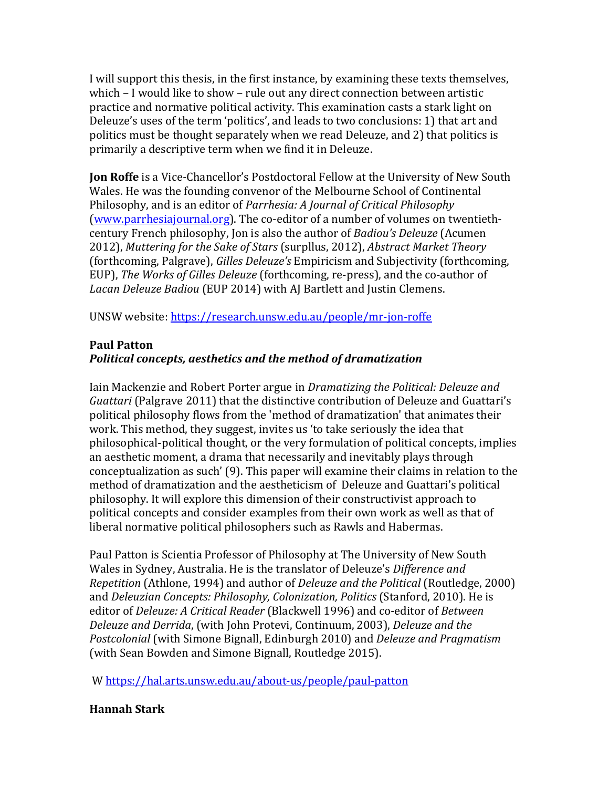I will support this thesis, in the first instance, by examining these texts themselves, which – I would like to show – rule out any direct connection between artistic practice and normative political activity. This examination casts a stark light on Deleuze's uses of the term 'politics', and leads to two conclusions: 1) that art and politics must be thought separately when we read Deleuze, and 2) that politics is primarily a descriptive term when we find it in Deleuze.

**Jon Roffe** is a Vice-Chancellor's Postdoctoral Fellow at the University of New South Wales. He was the founding convenor of the Melbourne School of Continental Philosophy, and is an editor of *Parrhesia: A Journal of Critical Philosophy*  [\(www.parrhesiajournal.org\)](http://www.parrhesiajournal.org/). The co-editor of a number of volumes on twentiethcentury French philosophy, Jon is also the author of *Badiou's Deleuze* (Acumen 2012), *Muttering for the Sake of Stars* (surpllus, 2012), *Abstract Market Theory*  (forthcoming, Palgrave), *Gilles Deleuze's* Empiricism and Subjectivity (forthcoming, EUP), *The Works of Gilles Deleuze* (forthcoming, re-press), and the co-author of *Lacan Deleuze Badiou* (EUP 2014) with AJ Bartlett and Justin Clemens.

UNSW website: <https://research.unsw.edu.au/people/mr-jon-roffe>

### **Paul Patton** *Political concepts, aesthetics and the method of dramatization*

Iain Mackenzie and Robert Porter argue in *Dramatizing the Political: Deleuze and Guattari* (Palgrave 2011) that the distinctive contribution of Deleuze and Guattari's political philosophy flows from the 'method of dramatization' that animates their work. This method, they suggest, invites us 'to take seriously the idea that philosophical-political thought, or the very formulation of political concepts, implies an aesthetic moment, a drama that necessarily and inevitably plays through conceptualization as such' (9). This paper will examine their claims in relation to the method of dramatization and the aestheticism of Deleuze and Guattari's political philosophy. It will explore this dimension of their constructivist approach to political concepts and consider examples from their own work as well as that of liberal normative political philosophers such as Rawls and Habermas.

Paul Patton is Scientia Professor of Philosophy at The University of New South Wales in Sydney, Australia. He is the translator of Deleuze's *Difference and Repetition* (Athlone, 1994) and author of *Deleuze and the Political* (Routledge, 2000) and *Deleuzian Concepts: Philosophy, Colonization, Politics* (Stanford, 2010). He is editor of *Deleuze: A Critical Reader* (Blackwell 1996) and co-editor of *Between Deleuze and Derrida*, (with John Protevi, Continuum, 2003), *Deleuze and the Postcolonial* (with Simone Bignall, Edinburgh 2010) and *Deleuze and Pragmatism* (with Sean Bowden and Simone Bignall, Routledge 2015).

W <https://hal.arts.unsw.edu.au/about-us/people/paul-patton>

## **Hannah Stark**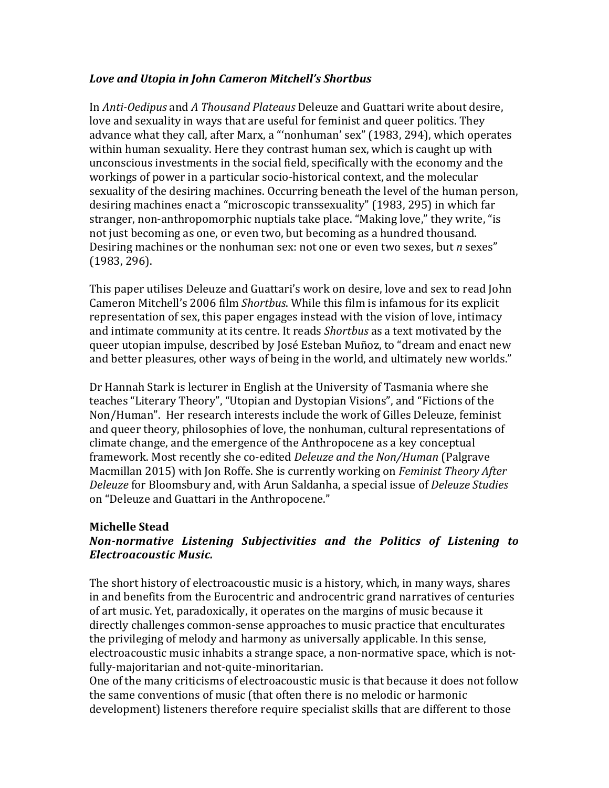### *Love and Utopia in John Cameron Mitchell's Shortbus*

In *Anti-Oedipus* and *A Thousand Plateaus* Deleuze and Guattari write about desire, love and sexuality in ways that are useful for feminist and queer politics. They advance what they call, after Marx, a "'nonhuman' sex" (1983, 294), which operates within human sexuality. Here they contrast human sex, which is caught up with unconscious investments in the social field, specifically with the economy and the workings of power in a particular socio-historical context, and the molecular sexuality of the desiring machines. Occurring beneath the level of the human person, desiring machines enact a "microscopic transsexuality" (1983, 295) in which far stranger, non-anthropomorphic nuptials take place. "Making love," they write, "is not just becoming as one, or even two, but becoming as a hundred thousand. Desiring machines or the nonhuman sex: not one or even two sexes, but *n* sexes" (1983, 296).

This paper utilises Deleuze and Guattari's work on desire, love and sex to read John Cameron Mitchell's 2006 film *Shortbus*. While this film is infamous for its explicit representation of sex, this paper engages instead with the vision of love, intimacy and intimate community at its centre. It reads *Shortbus* as a text motivated by the queer utopian impulse, described by José Esteban Muñoz, to "dream and enact new and better pleasures, other ways of being in the world, and ultimately new worlds."

Dr Hannah Stark is lecturer in English at the University of Tasmania where she teaches "Literary Theory", "Utopian and Dystopian Visions", and "Fictions of the Non/Human". Her research interests include the work of Gilles Deleuze, feminist and queer theory, philosophies of love, the nonhuman, cultural representations of climate change, and the emergence of the Anthropocene as a key conceptual framework. Most recently she co-edited *Deleuze and the Non/Human* (Palgrave Macmillan 2015) with Jon Roffe. She is currently working on *Feminist Theory After Deleuze* for Bloomsbury and, with Arun Saldanha, a special issue of *Deleuze Studies* on "Deleuze and Guattari in the Anthropocene."

#### **Michelle Stead** *Non-normative Listening Subjectivities and the Politics of Listening to Electroacoustic Music.*

The short history of electroacoustic music is a history, which, in many ways, shares in and benefits from the Eurocentric and androcentric grand narratives of centuries of art music. Yet, paradoxically, it operates on the margins of music because it directly challenges common-sense approaches to music practice that enculturates the privileging of melody and harmony as universally applicable. In this sense, electroacoustic music inhabits a strange space, a non-normative space, which is notfully-majoritarian and not-quite-minoritarian.

One of the many criticisms of electroacoustic music is that because it does not follow the same conventions of music (that often there is no melodic or harmonic development) listeners therefore require specialist skills that are different to those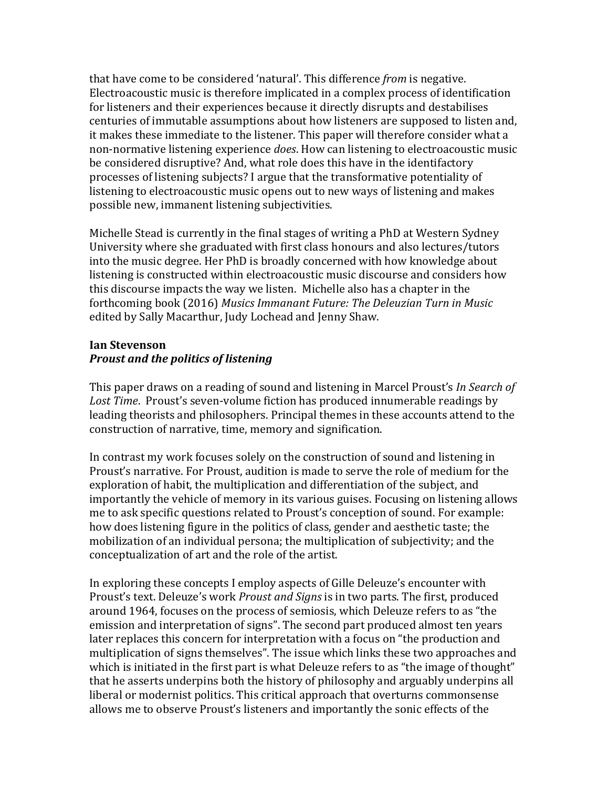that have come to be considered 'natural'. This difference *from* is negative. Electroacoustic music is therefore implicated in a complex process of identification for listeners and their experiences because it directly disrupts and destabilises centuries of immutable assumptions about how listeners are supposed to listen and, it makes these immediate to the listener. This paper will therefore consider what a non-normative listening experience *does*. How can listening to electroacoustic music be considered disruptive? And, what role does this have in the identifactory processes of listening subjects? I argue that the transformative potentiality of listening to electroacoustic music opens out to new ways of listening and makes possible new, immanent listening subjectivities.

Michelle Stead is currently in the final stages of writing a PhD at Western Sydney University where she graduated with first class honours and also lectures/tutors into the music degree. Her PhD is broadly concerned with how knowledge about listening is constructed within electroacoustic music discourse and considers how this discourse impacts the way we listen. Michelle also has a chapter in the forthcoming book (2016) *Musics Immanant Future: The Deleuzian Turn in Music* edited by Sally Macarthur, Judy Lochead and Jenny Shaw.

#### **Ian Stevenson** *Proust and the politics of listening*

This paper draws on a reading of sound and listening in Marcel Proust's *In Search of Lost Time*. Proust's seven-volume fiction has produced innumerable readings by leading theorists and philosophers. Principal themes in these accounts attend to the construction of narrative, time, memory and signification.

In contrast my work focuses solely on the construction of sound and listening in Proust's narrative. For Proust, audition is made to serve the role of medium for the exploration of habit, the multiplication and differentiation of the subject, and importantly the vehicle of memory in its various guises. Focusing on listening allows me to ask specific questions related to Proust's conception of sound. For example: how does listening figure in the politics of class, gender and aesthetic taste; the mobilization of an individual persona; the multiplication of subjectivity; and the conceptualization of art and the role of the artist.

In exploring these concepts I employ aspects of Gille Deleuze's encounter with Proust's text. Deleuze's work *Proust and Signs* is in two parts. The first, produced around 1964, focuses on the process of semiosis, which Deleuze refers to as "the emission and interpretation of signs". The second part produced almost ten years later replaces this concern for interpretation with a focus on "the production and multiplication of signs themselves". The issue which links these two approaches and which is initiated in the first part is what Deleuze refers to as "the image of thought" that he asserts underpins both the history of philosophy and arguably underpins all liberal or modernist politics. This critical approach that overturns commonsense allows me to observe Proust's listeners and importantly the sonic effects of the